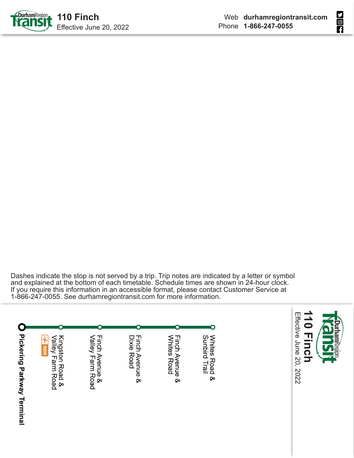



Dashes indicate the stop is not served by a trip. Trip notes are indicated by a letter or symbol and explained at the bottom of each timetable. Schedule times are shown in 24-hour clock. If you require this information in an accessible format, please contact Customer Service at 1-866-247-0055. See durhamregiontransit.com for more information.

| <b>Pickering Parkway Terminal</b> | Valley Farm Road<br>Kingston Road &<br>006 | Finch Avenue &<br>Valley Farm Road | Finch Avenue &<br>Dixie Road | Whites Road<br>Finch Avenue & | Whites Road &<br>Sunbird Trail |
|-----------------------------------|--------------------------------------------|------------------------------------|------------------------------|-------------------------------|--------------------------------|

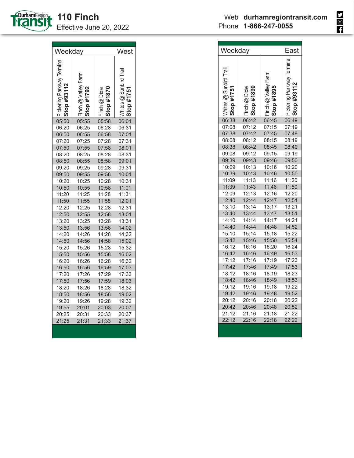

٦

| Weekday                            |                                       |                                             | West               |
|------------------------------------|---------------------------------------|---------------------------------------------|--------------------|
| Pickering Parkway Terminal<br>Stop | . Farm<br>@Valley<br>792<br>#<br>Stop | #1870<br>Finch @ Dixie<br>Stop <sub>i</sub> | ing @ Sun<br>#1751 |
| 05:50                              | 05:55                                 | 05:58                                       | 06:01              |
| 06:20                              | 06:25                                 | 06:28                                       | 06:31              |
| 06:50                              | 06:55                                 | 06:58                                       | 07:01              |
| 07:20                              | 07:25                                 | 07:28                                       | 07:31              |
| 07:50                              | 07:55                                 | 07:58                                       | 08:01              |
| 08:20                              | 08:25                                 | 08:28                                       | 08:31              |
| 08:50                              | 08:55                                 | 08:58                                       | 09:01              |
| 09:20                              | 09:25                                 | 09:28                                       | 09:31              |
| 09:50                              | 09:55                                 | 09:58                                       | 10:01              |
| 10:20                              | 10:25                                 | 10:28                                       | 10:31              |
| 10:50                              | 10:55                                 | 10:58                                       | 11:01              |
| 11:20                              | 11:25                                 | 11:28                                       | 11:31              |
| 11:50                              | 11:55                                 | 11:58                                       | 12:01              |
| 12:20                              | 12:25                                 | 12:28                                       | 12:31              |
| 12:50                              | 12:55                                 | 12:58                                       | 13:01              |
| 13:20                              | 13:25                                 | 13:28                                       | 13:31              |
| 13:50                              | 13:56                                 | 13:58                                       | 14:02              |
| 14:20                              | 14:26                                 | 14:28                                       | 14:32              |
| 14:50                              | 14:56                                 | 14:58                                       | 15:02              |
| 15:20                              | 15:26                                 | 15:28                                       | 15:32              |
| 15:50                              | 15:56                                 | 15:58                                       | 16:02              |
| 16:20                              | 16:26                                 | 16:28                                       | 16:32              |
| 16:50                              | 16:56                                 | 16:59                                       | 17:03              |
| 17:20                              | 17:26                                 | 17:29                                       | 17:33              |
| 17:50                              | 17:56                                 | 17:59                                       | 18:03              |
| 18:20                              | 18:26                                 | 18:28                                       | 18:32              |
| 18:50                              | 18:56                                 | 18:58                                       | 19:02              |
| 19:20                              | 19:26                                 | 19:28                                       | 19:32              |
| 19:55                              | 20:01                                 | 20:03                                       | 20:07              |
| 20:25                              | 20:31                                 | 20:33                                       | 20:37              |
| 21:25                              | 21:31                                 | 21:33                                       | 21:37              |
|                                    |                                       |                                             |                    |

| Weekday                                    |                                     |                                            | East                     |  |
|--------------------------------------------|-------------------------------------|--------------------------------------------|--------------------------|--|
| Vhites @ Sunbird Trail<br><b>top #1751</b> | Finch @ Dixie<br>Stop #1890<br>Stop | n @ Valley Farm<br><b>p #1895</b><br>Finch | ckering Parkway Terminal |  |
| 06:38                                      | 06:42                               | 06:45                                      | 06:49                    |  |
| 07:08                                      | 07:12                               | 07:15                                      | 07:19                    |  |
| 07:38                                      | 07:42                               | 07:45                                      | 07:49                    |  |
| 08:08                                      | 08:12                               | 08:15                                      | 08:19                    |  |
| 08:38                                      | 08:42                               | 08:45                                      | 08:49                    |  |
| 09:08                                      | 09:12                               | 09:15                                      | 09:19                    |  |
| 09:39                                      | 09:43                               | 09:46                                      | 09:50                    |  |
| 10:09                                      | 10:13                               | 10:16                                      | 10:20                    |  |
| 10:39                                      | 10:43                               | 10:46                                      | 10:50                    |  |
| 11:09                                      | 11:13                               | 11:16                                      | 11:20                    |  |
| 11:39                                      | 11:43                               | 11:46                                      | 11:50                    |  |
| 12:09                                      | 12:13                               | 12:16                                      | 12:20                    |  |
| 12:40                                      | 12:44                               | 12:47                                      | 12:51                    |  |
| 13:10                                      | 13:14                               | 13:17                                      | 13:21                    |  |
| 13:40                                      | 13:44                               | 13:47                                      | 13:51                    |  |
| 14:10                                      | 14:14                               | 14:17                                      | 14:21                    |  |
| 14:40                                      | 14:44                               | 14:48                                      | 14:52                    |  |
| 15:10                                      | 15:14                               | 15:18                                      | 15:22                    |  |
| 15:42                                      | 15:46                               | 15:50                                      | 15:54                    |  |
| 16:12                                      | 16:16                               | 16:20                                      | 16:24                    |  |
| 16:42                                      | 16:46                               | 16:49                                      | 16:53                    |  |
| 17:12                                      | 17:16                               | 17:19                                      | 17:23                    |  |
| 17:42                                      | 17:46                               | 17:49                                      | 17:53                    |  |
| 18:12                                      | 18:16                               | 18:19                                      | 18:23                    |  |
| 18:42                                      | 18:46                               | 18:49                                      | 18:53                    |  |
| 19:12                                      | 19:16                               | 19:18                                      | 19:22                    |  |
| 19:42                                      | 19:46                               | 19:48                                      | 19:52                    |  |
| 20:12                                      | 20:16                               | 20:18                                      | 20:22                    |  |
| 20:42                                      | 20:46                               | 20:48                                      | 20:52                    |  |
| 21:12                                      | 21:16                               | 21:18                                      | 21:22                    |  |
| 22:12                                      | 22:16                               | 22:18                                      | 22:22                    |  |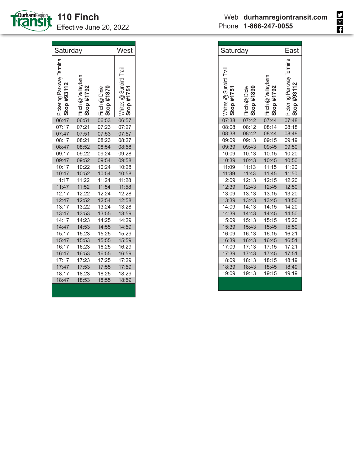

| Saturday                                     |                                         |                             | West                                   |
|----------------------------------------------|-----------------------------------------|-----------------------------|----------------------------------------|
| Pickering Parkway Terminal<br>#93112<br>Stop | Finch @ Valleyfarm<br><b>Stop #1792</b> | Stop #1870<br>Finch @ Dixie | <b>@ Sunbird Trai</b><br>#1751<br>1165 |
| 06:47                                        | 06:51                                   | 06:53                       | 06:57                                  |
| 07:17                                        | 07:21                                   | 07:23                       | 07:27                                  |
| 07:47                                        | 07:51                                   | 07:53                       | 07:57                                  |
| 08:17                                        | 08:21                                   | 08:23                       | 08:27                                  |
| 08:47                                        | 08:52                                   | 08:54                       | 08:58                                  |
| 09:17                                        | 09:22                                   | 09:24                       | 09:28                                  |
| 09:47                                        | 09:52                                   | 09:54                       | 09:58                                  |
| 10:17                                        | 10:22                                   | 10:24                       | 10:28                                  |
| 10:47                                        | 10:52                                   | 10:54                       | 10:58                                  |
| 11:17                                        | 11:22                                   | 11:24                       | 11:28                                  |
| 11:47                                        | 11:52                                   | 11:54                       | 11:58                                  |
| 12:17                                        | 12:22                                   | 12:24                       | 12:28                                  |
| 12:47                                        | 12:52                                   | 12:54                       | 12:58                                  |
| 13:17                                        | 13:22                                   | 13:24                       | 13:28                                  |
| 13:47                                        | 13:53                                   | 13:55                       | 13:59                                  |
| 14:17                                        | 14:23                                   | 14:25                       | 14:29                                  |
| 14:47                                        | 14:53                                   | 14:55                       | 14:59                                  |
| 15:17                                        | 15:23                                   | 15:25                       | 15:29                                  |
| 15:47                                        | 15:53                                   | 15:55                       | 15:59                                  |
| 16:17                                        | 16:23                                   | 16:25                       | 16:29                                  |
| 16:47                                        | 16:53                                   | 16:55                       | 16:59                                  |
| 17:17                                        | 17:23                                   | 17:25                       | 17:29                                  |
| 17:47                                        | 17:53                                   | 17:55                       | 17:59                                  |
| 18:17                                        | 18:23                                   | 18:25                       | 18:29                                  |
| 18:47                                        | 18:53                                   | 18:55                       | 18:59                                  |
|                                              |                                         |                             |                                        |

| Saturday                                                        |                             | East                             |                            |
|-----------------------------------------------------------------|-----------------------------|----------------------------------|----------------------------|
| 'hites @ Sunbird Trail<br><b>top #1751</b><br>Stop <sub>i</sub> | Finch @ Dixie<br>Stop #1890 | Finch @ Valleyfarm<br>Stop #1792 | Pickering Parkway Terminal |
| 07:38                                                           | 07:42                       | 07:44                            | 07:48                      |
| 08:08                                                           | 08:12                       | 08:14                            | 08:18                      |
| 08:38                                                           | 08:42                       | 08:44                            | 08:48                      |
| 09:09                                                           | 09:13                       | 09:15                            | 09:19                      |
| 09:39                                                           | 09:43                       | 09:45                            | 09:50                      |
| 10:09                                                           | 10:13                       | 10:15                            | 10:20                      |
| 10:39                                                           | 10:43                       | 10:45                            | 10:50                      |
| 11:09                                                           | 11:13                       | 11:15                            | 11:20                      |
| 11:39                                                           | 11:43                       | 11:45                            | 11:50                      |
| 12:09                                                           | 12:13                       | 12:15                            | 12:20                      |
| 12:39                                                           | 12:43                       | 12:45                            | 12:50                      |
| 13:09                                                           | 13:13                       | 13:15                            | 13:20                      |
| 13:39                                                           | 13:43                       | 13:45                            | 13:50                      |
| 14:09                                                           | 14:13                       | 14:15                            | 14:20                      |
| 14:39                                                           | 14:43                       | 14:45                            | 14:50                      |
| 15:09                                                           | 15:13                       | 15:15                            | 15:20                      |
| 15:39                                                           | 15:43                       | 15:45                            | 15:50                      |
| 16:09                                                           | 16:13                       | 16:15                            | 16:21                      |
| 16:39                                                           | 16:43                       | 16:45                            | 16:51                      |
| 17:09                                                           | 17:13                       | 17:15                            | 17:21                      |
| 17:39                                                           | 17:43                       | 17:45                            | 17:51                      |
| 18:09                                                           | 18:13                       | 18:15                            | 18:19                      |
| 18:39                                                           | 18:43                       | 18:45                            | 18:49                      |
| 19:09                                                           | 19:13                       | 19:15                            | 19:19                      |